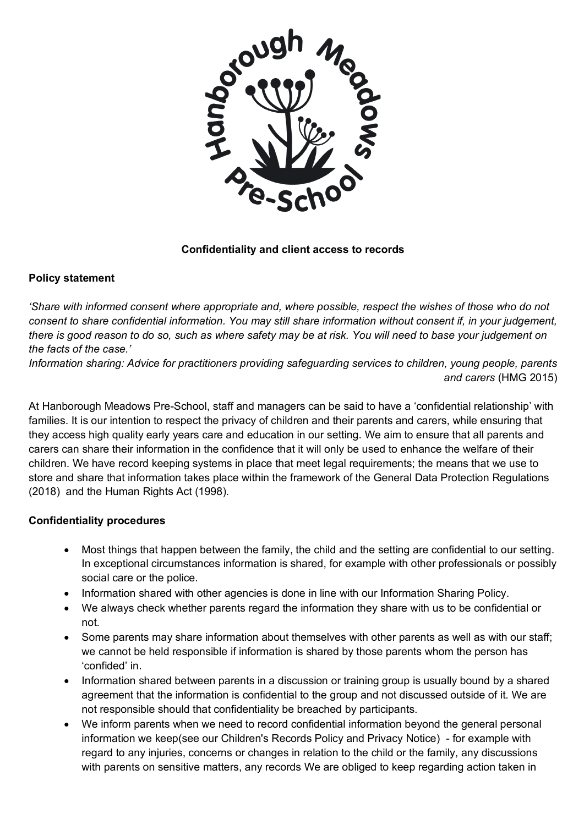

# **Confidentiality and client access to records**

# **Policy statement**

'Share with informed consent where appropriate and, where possible, respect the wishes of those who do not consent to share confidential information. You may still share information without consent if, in your judgement, there is good reason to do so, such as where safety may be at risk. You will need to base your judgement on *the facts of the case.'*

*Information sharing: Advice for practitioners providing safeguarding services to children, young people, parents and carers* (HMG 2015)

At Hanborough Meadows Pre-School, staff and managers can be said to have a 'confidential relationship' with families. It is our intention to respect the privacy of children and their parents and carers, while ensuring that they access high quality early years care and education in our setting. We aim to ensure that all parents and carers can share their information in the confidence that it will only be used to enhance the welfare of their children. We have record keeping systems in place that meet legal requirements; the means that we use to store and share that information takes place within the framework of the General Data Protection Regulations (2018) and the Human Rights Act (1998).

# **Confidentiality procedures**

- Most things that happen between the family, the child and the setting are confidential to our setting. In exceptional circumstances information is shared, for example with other professionals or possibly social care or the police.
- Information shared with other agencies is done in line with our Information Sharing Policy.
- We always check whether parents regard the information they share with us to be confidential or not.
- Some parents may share information about themselves with other parents as well as with our staff; we cannot be held responsible if information is shared by those parents whom the person has 'confided' in.
- Information shared between parents in a discussion or training group is usually bound by a shared agreement that the information is confidential to the group and not discussed outside of it. We are not responsible should that confidentiality be breached by participants.
- We inform parents when we need to record confidential information beyond the general personal information we keep(see our Children's Records Policy and Privacy Notice) - for example with regard to any injuries, concerns or changes in relation to the child or the family, any discussions with parents on sensitive matters, any records We are obliged to keep regarding action taken in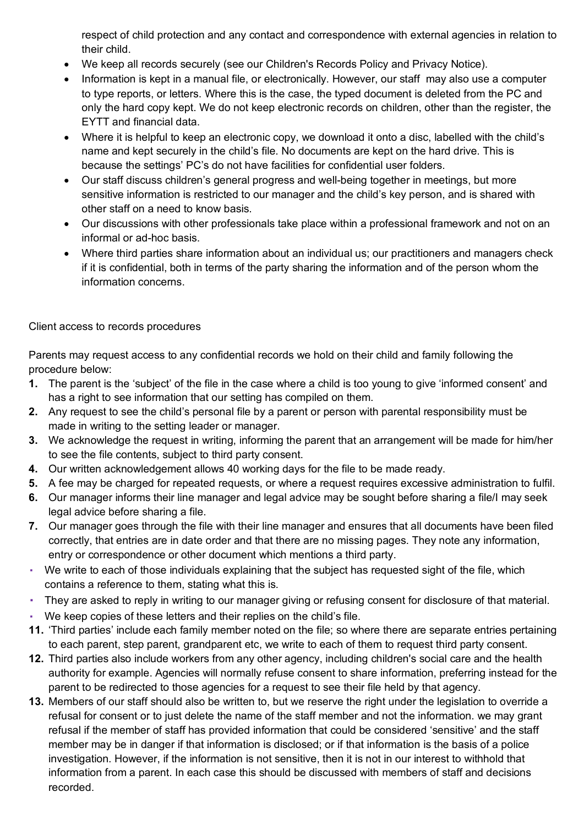respect of child protection and any contact and correspondence with external agencies in relation to their child.

- We keep all records securely (see our Children's Records Policy and Privacy Notice).
- Information is kept in a manual file, or electronically. However, our staff may also use a computer to type reports, or letters. Where this is the case, the typed document is deleted from the PC and only the hard copy kept. We do not keep electronic records on children, other than the register, the EYTT and financial data.
- Where it is helpful to keep an electronic copy, we download it onto a disc, labelled with the child's name and kept securely in the child's file. No documents are kept on the hard drive. This is because the settings' PC's do not have facilities for confidential user folders.
- Our staff discuss children's general progress and well-being together in meetings, but more sensitive information is restricted to our manager and the child's key person, and is shared with other staff on a need to know basis.
- Our discussions with other professionals take place within a professional framework and not on an informal or ad-hoc basis.
- Where third parties share information about an individual us; our practitioners and managers check if it is confidential, both in terms of the party sharing the information and of the person whom the information concerns.

Client access to records procedures

Parents may request access to any confidential records we hold on their child and family following the procedure below:

- **1.** The parent is the 'subject' of the file in the case where a child is too young to give 'informed consent' and has a right to see information that our setting has compiled on them.
- **2.** Any request to see the child's personal file by a parent or person with parental responsibility must be made in writing to the setting leader or manager.
- **3.** We acknowledge the request in writing, informing the parent that an arrangement will be made for him/her to see the file contents, subject to third party consent.
- **4.** Our written acknowledgement allows 40 working days for the file to be made ready.
- **5.** A fee may be charged for repeated requests, or where a request requires excessive administration to fulfil.
- **6.** Our manager informs their line manager and legal advice may be sought before sharing a file/I may seek legal advice before sharing a file.
- **7.** Our manager goes through the file with their line manager and ensures that all documents have been filed correctly, that entries are in date order and that there are no missing pages. They note any information, entry or correspondence or other document which mentions a third party.
- We write to each of those individuals explaining that the subject has requested sight of the file, which contains a reference to them, stating what this is.
- They are asked to reply in writing to our manager giving or refusing consent for disclosure of that material.
- We keep copies of these letters and their replies on the child's file.
- **11.** 'Third parties' include each family member noted on the file; so where there are separate entries pertaining to each parent, step parent, grandparent etc, we write to each of them to request third party consent.
- **12.** Third parties also include workers from any other agency, including children's social care and the health authority for example. Agencies will normally refuse consent to share information, preferring instead for the parent to be redirected to those agencies for a request to see their file held by that agency.
- **13.** Members of our staff should also be written to, but we reserve the right under the legislation to override a refusal for consent or to just delete the name of the staff member and not the information. we may grant refusal if the member of staff has provided information that could be considered 'sensitive' and the staff member may be in danger if that information is disclosed; or if that information is the basis of a police investigation. However, if the information is not sensitive, then it is not in our interest to withhold that information from a parent. In each case this should be discussed with members of staff and decisions recorded.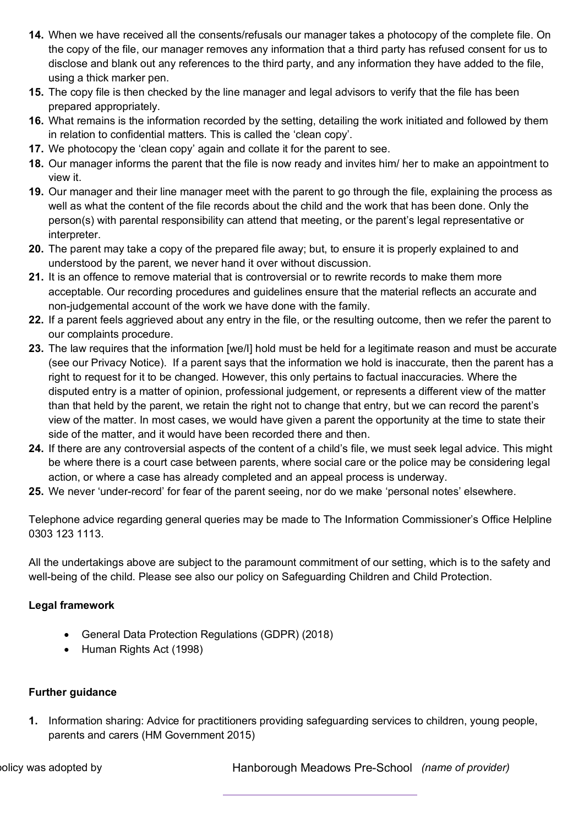- **14.** When we have received all the consents/refusals our manager takes a photocopy of the complete file. On the copy of the file, our manager removes any information that a third party has refused consent for us to disclose and blank out any references to the third party, and any information they have added to the file, using a thick marker pen.
- **15.** The copy file is then checked by the line manager and legal advisors to verify that the file has been prepared appropriately.
- **16.** What remains is the information recorded by the setting, detailing the work initiated and followed by them in relation to confidential matters. This is called the 'clean copy'.
- **17.** We photocopy the 'clean copy' again and collate it for the parent to see.
- **18.** Our manager informs the parent that the file is now ready and invites him/ her to make an appointment to view it.
- **19.** Our manager and their line manager meet with the parent to go through the file, explaining the process as well as what the content of the file records about the child and the work that has been done. Only the person(s) with parental responsibility can attend that meeting, or the parent's legal representative or interpreter.
- **20.** The parent may take a copy of the prepared file away; but, to ensure it is properly explained to and understood by the parent, we never hand it over without discussion.
- **21.** It is an offence to remove material that is controversial or to rewrite records to make them more acceptable. Our recording procedures and guidelines ensure that the material reflects an accurate and non-judgemental account of the work we have done with the family.
- **22.** If a parent feels aggrieved about any entry in the file, or the resulting outcome, then we refer the parent to our complaints procedure.
- **23.** The law requires that the information [we/I] hold must be held for a legitimate reason and must be accurate (see our Privacy Notice). If a parent says that the information we hold is inaccurate, then the parent has a right to request for it to be changed. However, this only pertains to factual inaccuracies. Where the disputed entry is a matter of opinion, professional judgement, or represents a different view of the matter than that held by the parent, we retain the right not to change that entry, but we can record the parent's view of the matter. In most cases, we would have given a parent the opportunity at the time to state their side of the matter, and it would have been recorded there and then.
- **24.** If there are any controversial aspects of the content of a child's file, we must seek legal advice. This might be where there is a court case between parents, where social care or the police may be considering legal action, or where a case has already completed and an appeal process is underway.
- **25.** We never 'under-record' for fear of the parent seeing, nor do we make 'personal notes' elsewhere.

Telephone advice regarding general queries may be made to The Information Commissioner's Office Helpline 0303 123 1113.

All the undertakings above are subject to the paramount commitment of our setting, which is to the safety and well-being of the child. Please see also our policy on Safeguarding Children and Child Protection.

# **Legal framework**

- General Data Protection Regulations (GDPR) (2018)
- Human Rights Act (1998)

# **Further guidance**

**1.** Information sharing: Advice for practitioners providing safeguarding services to children, young people, parents and carers (HM Government 2015)

This policy was adopted by Hanborough Meadows Pre-School *(name of provider)*